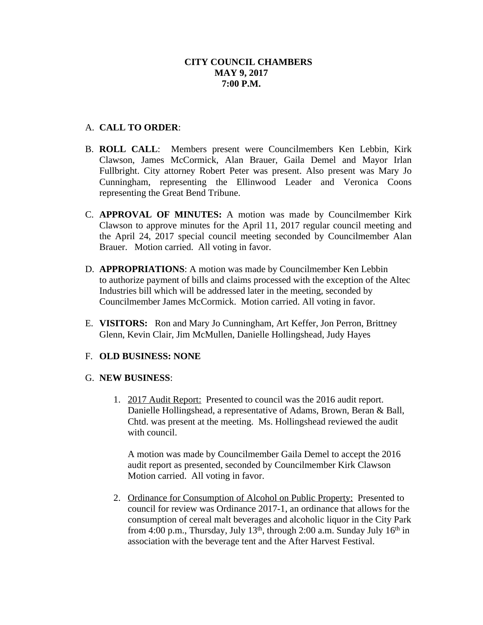## A. **CALL TO ORDER**:

- B. **ROLL CALL**: Members present were Councilmembers Ken Lebbin, Kirk Clawson, James McCormick, Alan Brauer, Gaila Demel and Mayor Irlan Fullbright. City attorney Robert Peter was present. Also present was Mary Jo Cunningham, representing the Ellinwood Leader and Veronica Coons representing the Great Bend Tribune.
- C. **APPROVAL OF MINUTES:** A motion was made by Councilmember Kirk Clawson to approve minutes for the April 11, 2017 regular council meeting and the April 24, 2017 special council meeting seconded by Councilmember Alan Brauer. Motion carried. All voting in favor.
- D. **APPROPRIATIONS**: A motion was made by Councilmember Ken Lebbin to authorize payment of bills and claims processed with the exception of the Altec Industries bill which will be addressed later in the meeting, seconded by Councilmember James McCormick. Motion carried. All voting in favor.
- E. **VISITORS:** Ron and Mary Jo Cunningham, Art Keffer, Jon Perron, Brittney Glenn, Kevin Clair, Jim McMullen, Danielle Hollingshead, Judy Hayes

## F. **OLD BUSINESS: NONE**

## G. **NEW BUSINESS**:

1. 2017 Audit Report: Presented to council was the 2016 audit report. Danielle Hollingshead, a representative of Adams, Brown, Beran & Ball, Chtd. was present at the meeting. Ms. Hollingshead reviewed the audit with council.

A motion was made by Councilmember Gaila Demel to accept the 2016 audit report as presented, seconded by Councilmember Kirk Clawson Motion carried. All voting in favor.

2. Ordinance for Consumption of Alcohol on Public Property: Presented to council for review was Ordinance 2017-1, an ordinance that allows for the consumption of cereal malt beverages and alcoholic liquor in the City Park from 4:00 p.m., Thursday, July  $13<sup>th</sup>$ , through 2:00 a.m. Sunday July  $16<sup>th</sup>$  in association with the beverage tent and the After Harvest Festival.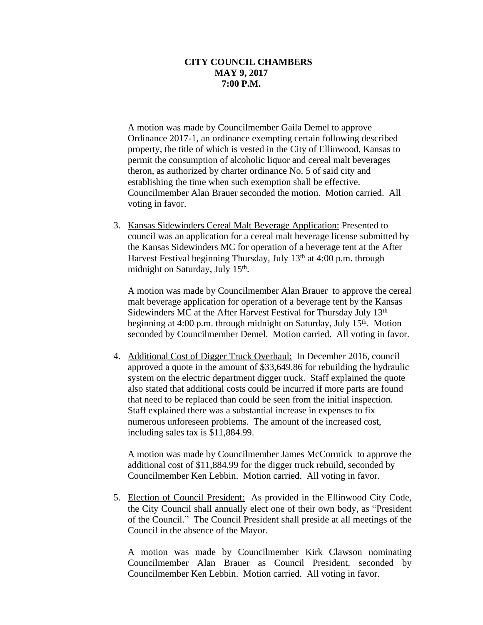A motion was made by Councilmember Gaila Demel to approve Ordinance 2017-1, an ordinance exempting certain following described property, the title of which is vested in the City of Ellinwood, Kansas to permit the consumption of alcoholic liquor and cereal malt beverages theron, as authorized by charter ordinance No. 5 of said city and establishing the time when such exemption shall be effective. Councilmember Alan Brauer seconded the motion. Motion carried. All voting in favor.

3. Kansas Sidewinders Cereal Malt Beverage Application: Presented to council was an application for a cereal malt beverage license submitted by the Kansas Sidewinders MC for operation of a beverage tent at the After Harvest Festival beginning Thursday, July  $13<sup>th</sup>$  at 4:00 p.m. through midnight on Saturday, July 15<sup>th</sup>.

A motion was made by Councilmember Alan Brauer to approve the cereal malt beverage application for operation of a beverage tent by the Kansas Sidewinders MC at the After Harvest Festival for Thursday July 13<sup>th</sup> beginning at 4:00 p.m. through midnight on Saturday, July 15<sup>th</sup>. Motion seconded by Councilmember Demel. Motion carried. All voting in favor.

4. Additional Cost of Digger Truck Overhaul: In December 2016, council approved a quote in the amount of \$33,649.86 for rebuilding the hydraulic system on the electric department digger truck. Staff explained the quote also stated that additional costs could be incurred if more parts are found that need to be replaced than could be seen from the initial inspection. Staff explained there was a substantial increase in expenses to fix numerous unforeseen problems. The amount of the increased cost, including sales tax is \$11,884.99.

A motion was made by Councilmember James McCormick to approve the additional cost of \$11,884.99 for the digger truck rebuild, seconded by Councilmember Ken Lebbin. Motion carried. All voting in favor.

5. Election of Council President: As provided in the Ellinwood City Code, the City Council shall annually elect one of their own body, as "President of the Council." The Council President shall preside at all meetings of the Council in the absence of the Mayor.

A motion was made by Councilmember Kirk Clawson nominating Councilmember Alan Brauer as Council President, seconded by Councilmember Ken Lebbin. Motion carried. All voting in favor.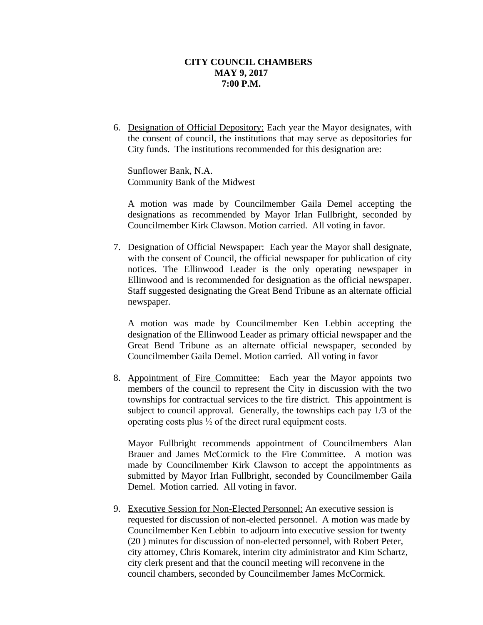6. Designation of Official Depository: Each year the Mayor designates, with the consent of council, the institutions that may serve as depositories for City funds. The institutions recommended for this designation are:

Sunflower Bank, N.A. Community Bank of the Midwest

A motion was made by Councilmember Gaila Demel accepting the designations as recommended by Mayor Irlan Fullbright, seconded by Councilmember Kirk Clawson. Motion carried. All voting in favor.

7. Designation of Official Newspaper: Each year the Mayor shall designate, with the consent of Council, the official newspaper for publication of city notices. The Ellinwood Leader is the only operating newspaper in Ellinwood and is recommended for designation as the official newspaper. Staff suggested designating the Great Bend Tribune as an alternate official newspaper.

A motion was made by Councilmember Ken Lebbin accepting the designation of the Ellinwood Leader as primary official newspaper and the Great Bend Tribune as an alternate official newspaper, seconded by Councilmember Gaila Demel. Motion carried. All voting in favor

8. Appointment of Fire Committee: Each year the Mayor appoints two members of the council to represent the City in discussion with the two townships for contractual services to the fire district. This appointment is subject to council approval. Generally, the townships each pay 1/3 of the operating costs plus ½ of the direct rural equipment costs.

Mayor Fullbright recommends appointment of Councilmembers Alan Brauer and James McCormick to the Fire Committee. A motion was made by Councilmember Kirk Clawson to accept the appointments as submitted by Mayor Irlan Fullbright, seconded by Councilmember Gaila Demel. Motion carried. All voting in favor.

9. Executive Session for Non-Elected Personnel: An executive session is requested for discussion of non-elected personnel. A motion was made by Councilmember Ken Lebbin to adjourn into executive session for twenty (20 ) minutes for discussion of non-elected personnel, with Robert Peter, city attorney, Chris Komarek, interim city administrator and Kim Schartz, city clerk present and that the council meeting will reconvene in the council chambers, seconded by Councilmember James McCormick.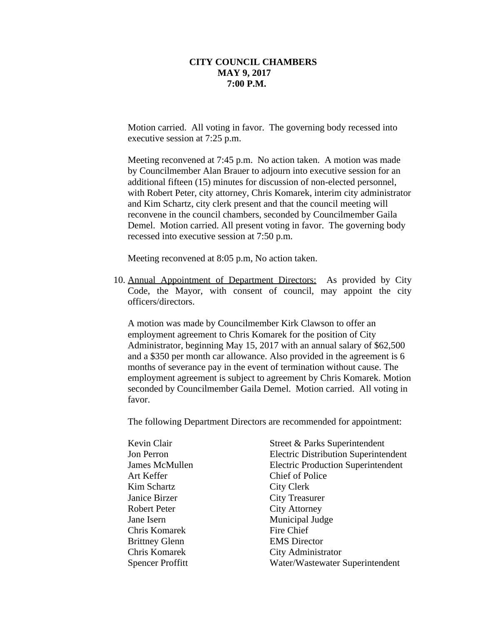Motion carried. All voting in favor. The governing body recessed into executive session at 7:25 p.m.

Meeting reconvened at 7:45 p.m. No action taken. A motion was made by Councilmember Alan Brauer to adjourn into executive session for an additional fifteen (15) minutes for discussion of non-elected personnel, with Robert Peter, city attorney, Chris Komarek, interim city administrator and Kim Schartz, city clerk present and that the council meeting will reconvene in the council chambers, seconded by Councilmember Gaila Demel. Motion carried. All present voting in favor. The governing body recessed into executive session at 7:50 p.m.

Meeting reconvened at 8:05 p.m, No action taken.

10. Annual Appointment of Department Directors: As provided by City Code, the Mayor, with consent of council, may appoint the city officers/directors.

A motion was made by Councilmember Kirk Clawson to offer an employment agreement to Chris Komarek for the position of City Administrator, beginning May 15, 2017 with an annual salary of \$62,500 and a \$350 per month car allowance. Also provided in the agreement is 6 months of severance pay in the event of termination without cause. The employment agreement is subject to agreement by Chris Komarek. Motion seconded by Councilmember Gaila Demel. Motion carried. All voting in favor.

The following Department Directors are recommended for appointment:

| Kevin Clair             | Street & Parks Superintendent               |
|-------------------------|---------------------------------------------|
| Jon Perron              | <b>Electric Distribution Superintendent</b> |
| James McMullen          | <b>Electric Production Superintendent</b>   |
| Art Keffer              | Chief of Police                             |
| Kim Schartz             | City Clerk                                  |
| Janice Birzer           | <b>City Treasurer</b>                       |
| <b>Robert Peter</b>     | <b>City Attorney</b>                        |
| Jane Isern              | Municipal Judge                             |
| Chris Komarek           | Fire Chief                                  |
| <b>Brittney Glenn</b>   | <b>EMS</b> Director                         |
| Chris Komarek           | City Administrator                          |
| <b>Spencer Proffitt</b> | Water/Wastewater Superintendent             |